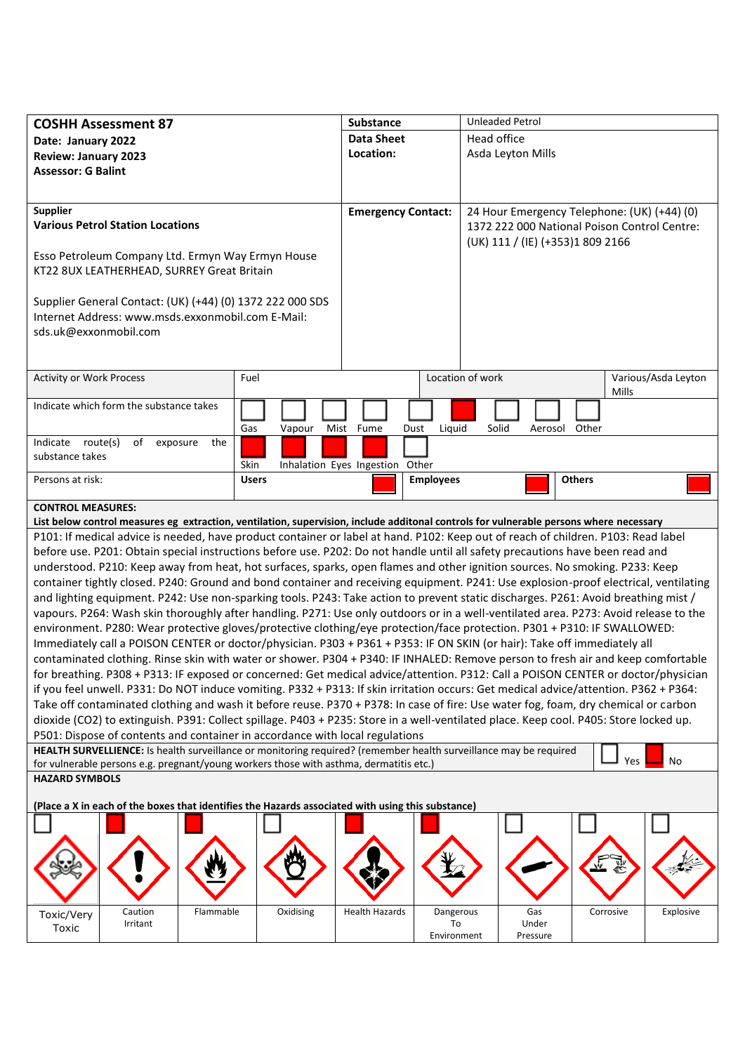| <b>COSHH Assessment 87</b>                                                                                                                                                                                                                                                  |              |           | Substance                        |                  | <b>Unleaded Petrol</b>                       |          |               |           |                     |
|-----------------------------------------------------------------------------------------------------------------------------------------------------------------------------------------------------------------------------------------------------------------------------|--------------|-----------|----------------------------------|------------------|----------------------------------------------|----------|---------------|-----------|---------------------|
| Date: January 2022                                                                                                                                                                                                                                                          |              |           | <b>Data Sheet</b><br>Head office |                  |                                              |          |               |           |                     |
| <b>Review: January 2023</b>                                                                                                                                                                                                                                                 |              |           | Location:                        |                  | Asda Leyton Mills                            |          |               |           |                     |
| <b>Assessor: G Balint</b>                                                                                                                                                                                                                                                   |              |           |                                  |                  |                                              |          |               |           |                     |
|                                                                                                                                                                                                                                                                             |              |           |                                  |                  |                                              |          |               |           |                     |
|                                                                                                                                                                                                                                                                             |              |           |                                  |                  |                                              |          |               |           |                     |
| <b>Supplier</b>                                                                                                                                                                                                                                                             |              |           | <b>Emergency Contact:</b>        |                  | 24 Hour Emergency Telephone: (UK) (+44) (0)  |          |               |           |                     |
| <b>Various Petrol Station Locations</b>                                                                                                                                                                                                                                     |              |           |                                  |                  | 1372 222 000 National Poison Control Centre: |          |               |           |                     |
|                                                                                                                                                                                                                                                                             |              |           |                                  |                  | (UK) 111 / (IE) (+353)1 809 2166             |          |               |           |                     |
| Esso Petroleum Company Ltd. Ermyn Way Ermyn House                                                                                                                                                                                                                           |              |           |                                  |                  |                                              |          |               |           |                     |
| KT22 8UX LEATHERHEAD, SURREY Great Britain                                                                                                                                                                                                                                  |              |           |                                  |                  |                                              |          |               |           |                     |
|                                                                                                                                                                                                                                                                             |              |           |                                  |                  |                                              |          |               |           |                     |
| Supplier General Contact: (UK) (+44) (0) 1372 222 000 SDS                                                                                                                                                                                                                   |              |           |                                  |                  |                                              |          |               |           |                     |
| Internet Address: www.msds.exxonmobil.com E-Mail:                                                                                                                                                                                                                           |              |           |                                  |                  |                                              |          |               |           |                     |
| sds.uk@exxonmobil.com                                                                                                                                                                                                                                                       |              |           |                                  |                  |                                              |          |               |           |                     |
|                                                                                                                                                                                                                                                                             |              |           |                                  |                  |                                              |          |               |           |                     |
|                                                                                                                                                                                                                                                                             |              |           |                                  |                  |                                              |          |               |           |                     |
| <b>Activity or Work Process</b>                                                                                                                                                                                                                                             | Fuel         |           |                                  |                  | Location of work                             |          |               |           | Various/Asda Leyton |
|                                                                                                                                                                                                                                                                             |              |           |                                  |                  |                                              |          |               | Mills     |                     |
| Indicate which form the substance takes                                                                                                                                                                                                                                     |              |           |                                  |                  |                                              |          |               |           |                     |
|                                                                                                                                                                                                                                                                             | Gas          | Vapour    | Mist Fume                        | Liquid<br>Dust   | Solid                                        | Aerosol  | Other         |           |                     |
| Indicate route(s)<br>of<br>exposure                                                                                                                                                                                                                                         | the          |           |                                  |                  |                                              |          |               |           |                     |
| substance takes                                                                                                                                                                                                                                                             |              |           |                                  |                  |                                              |          |               |           |                     |
|                                                                                                                                                                                                                                                                             | Skin         |           | Inhalation Eyes Ingestion Other  |                  |                                              |          |               |           |                     |
| Persons at risk:                                                                                                                                                                                                                                                            | <b>Users</b> |           |                                  | <b>Employees</b> |                                              |          | <b>Others</b> |           |                     |
| <b>CONTROL MEASURES:</b>                                                                                                                                                                                                                                                    |              |           |                                  |                  |                                              |          |               |           |                     |
|                                                                                                                                                                                                                                                                             |              |           |                                  |                  |                                              |          |               |           |                     |
| List below control measures eg extraction, ventilation, supervision, include additonal controls for vulnerable persons where necessary<br>P101: If medical advice is needed, have product container or label at hand. P102: Keep out of reach of children. P103: Read label |              |           |                                  |                  |                                              |          |               |           |                     |
|                                                                                                                                                                                                                                                                             |              |           |                                  |                  |                                              |          |               |           |                     |
| before use. P201: Obtain special instructions before use. P202: Do not handle until all safety precautions have been read and<br>understood. P210: Keep away from heat, hot surfaces, sparks, open flames and other ignition sources. No smoking. P233: Keep                |              |           |                                  |                  |                                              |          |               |           |                     |
|                                                                                                                                                                                                                                                                             |              |           |                                  |                  |                                              |          |               |           |                     |
| container tightly closed. P240: Ground and bond container and receiving equipment. P241: Use explosion-proof electrical, ventilating                                                                                                                                        |              |           |                                  |                  |                                              |          |               |           |                     |
| and lighting equipment. P242: Use non-sparking tools. P243: Take action to prevent static discharges. P261: Avoid breathing mist /                                                                                                                                          |              |           |                                  |                  |                                              |          |               |           |                     |
| vapours. P264: Wash skin thoroughly after handling. P271: Use only outdoors or in a well-ventilated area. P273: Avoid release to the                                                                                                                                        |              |           |                                  |                  |                                              |          |               |           |                     |
| environment. P280: Wear protective gloves/protective clothing/eye protection/face protection. P301 + P310: IF SWALLOWED:                                                                                                                                                    |              |           |                                  |                  |                                              |          |               |           |                     |
| Immediately call a POISON CENTER or doctor/physician. P303 + P361 + P353: IF ON SKIN (or hair): Take off immediately all                                                                                                                                                    |              |           |                                  |                  |                                              |          |               |           |                     |
| contaminated clothing. Rinse skin with water or shower. P304 + P340: IF INHALED: Remove person to fresh air and keep comfortable                                                                                                                                            |              |           |                                  |                  |                                              |          |               |           |                     |
| for breathing. P308 + P313: IF exposed or concerned: Get medical advice/attention. P312: Call a POISON CENTER or doctor/physician                                                                                                                                           |              |           |                                  |                  |                                              |          |               |           |                     |
| if you feel unwell. P331: Do NOT induce vomiting. P332 + P313: If skin irritation occurs: Get medical advice/attention. P362 + P364:                                                                                                                                        |              |           |                                  |                  |                                              |          |               |           |                     |
| Take off contaminated clothing and wash it before reuse. P370 + P378: In case of fire: Use water fog, foam, dry chemical or carbon                                                                                                                                          |              |           |                                  |                  |                                              |          |               |           |                     |
| dioxide (CO2) to extinguish. P391: Collect spillage. P403 + P235: Store in a well-ventilated place. Keep cool. P405: Store locked up.                                                                                                                                       |              |           |                                  |                  |                                              |          |               |           |                     |
| P501: Dispose of contents and container in accordance with local regulations                                                                                                                                                                                                |              |           |                                  |                  |                                              |          |               |           |                     |
| HEALTH SURVELLIENCE: Is health surveillance or monitoring required? (remember health surveillance may be required<br>No<br>Yes                                                                                                                                              |              |           |                                  |                  |                                              |          |               |           |                     |
| for vulnerable persons e.g. pregnant/young workers those with asthma, dermatitis etc.)                                                                                                                                                                                      |              |           |                                  |                  |                                              |          |               |           |                     |
| <b>HAZARD SYMBOLS</b>                                                                                                                                                                                                                                                       |              |           |                                  |                  |                                              |          |               |           |                     |
| (Place a X in each of the boxes that identifies the Hazards associated with using this substance)                                                                                                                                                                           |              |           |                                  |                  |                                              |          |               |           |                     |
|                                                                                                                                                                                                                                                                             |              |           |                                  |                  |                                              |          |               |           |                     |
|                                                                                                                                                                                                                                                                             |              |           |                                  |                  |                                              |          |               |           |                     |
|                                                                                                                                                                                                                                                                             |              |           |                                  |                  |                                              |          |               |           |                     |
|                                                                                                                                                                                                                                                                             |              |           |                                  |                  |                                              |          |               |           |                     |
|                                                                                                                                                                                                                                                                             |              |           |                                  |                  |                                              |          |               |           |                     |
|                                                                                                                                                                                                                                                                             |              |           |                                  |                  |                                              |          |               |           |                     |
| Caution<br>Toxic/Very                                                                                                                                                                                                                                                       | Flammable    | Oxidising | <b>Health Hazards</b>            | Dangerous        |                                              | Gas      |               | Corrosive | Explosive           |
| Irritant<br>Toxic                                                                                                                                                                                                                                                           |              |           |                                  | To               |                                              | Under    |               |           |                     |
|                                                                                                                                                                                                                                                                             |              |           |                                  | Environment      |                                              | Pressure |               |           |                     |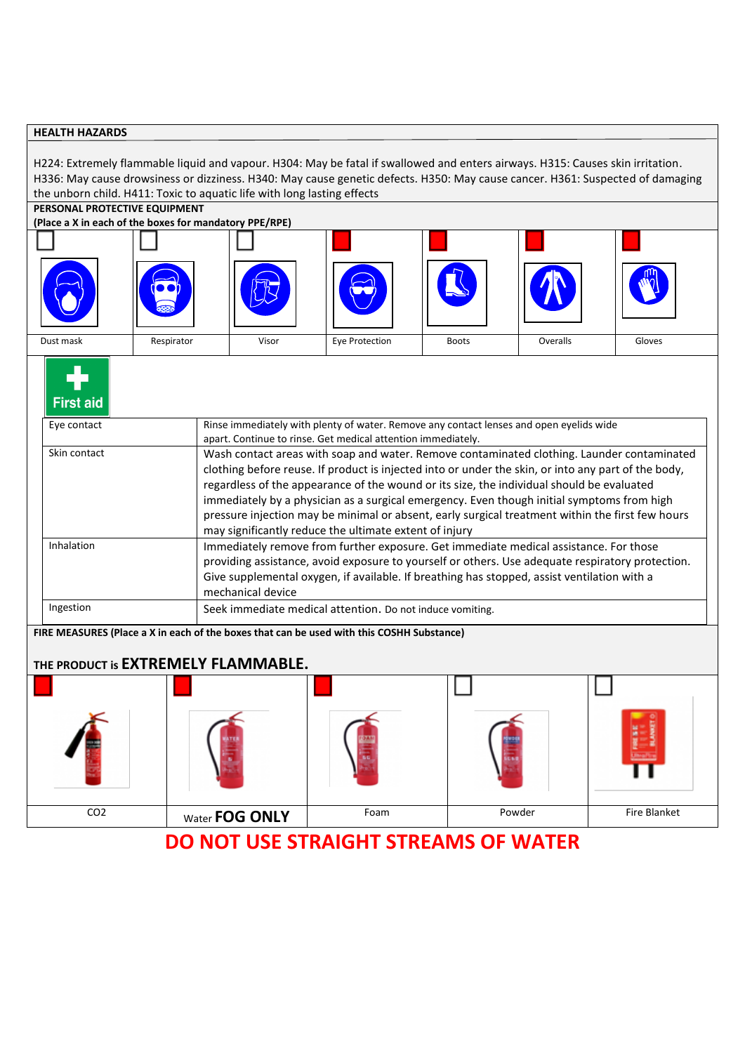## **HEALTH HAZARDS**

H224: Extremely flammable liquid and vapour. H304: May be fatal if swallowed and enters airways. H315: Causes skin irritation. H336: May cause drowsiness or dizziness. H340: May cause genetic defects. H350: May cause cancer. H361: Suspected of damaging the unborn child. H411: Toxic to aquatic life with long lasting effects

### **PERSONAL PROTECTIVE EQUIPMENT**

| (Place a X in each of the boxes for mandatory PPE/RPE) |  |
|--------------------------------------------------------|--|
|--------------------------------------------------------|--|

| $\frac{1}{2}$ . we can construct the second contract of $\frac{1}{2}$ . $\frac{1}{2}$ . $\frac{1}{2}$ . |             |       |                |              |          |        |
|---------------------------------------------------------------------------------------------------------|-------------|-------|----------------|--------------|----------|--------|
|                                                                                                         |             |       |                |              |          |        |
|                                                                                                         | <b>GEED</b> |       |                |              |          |        |
| Dust mask                                                                                               | Respirator  | Visor | Eye Protection | <b>Boots</b> | Overalls | Gloves |

| Eye contact  | Rinse immediately with plenty of water. Remove any contact lenses and open eyelids wide<br>apart. Continue to rinse. Get medical attention immediately.                                                                                                                                                                                                                                                                                                                                                                                                    |
|--------------|------------------------------------------------------------------------------------------------------------------------------------------------------------------------------------------------------------------------------------------------------------------------------------------------------------------------------------------------------------------------------------------------------------------------------------------------------------------------------------------------------------------------------------------------------------|
| Skin contact | Wash contact areas with soap and water. Remove contaminated clothing. Launder contaminated<br>clothing before reuse. If product is injected into or under the skin, or into any part of the body,<br>regardless of the appearance of the wound or its size, the individual should be evaluated<br>immediately by a physician as a surgical emergency. Even though initial symptoms from high<br>pressure injection may be minimal or absent, early surgical treatment within the first few hours<br>may significantly reduce the ultimate extent of injury |
| Inhalation   | Immediately remove from further exposure. Get immediate medical assistance. For those<br>providing assistance, avoid exposure to yourself or others. Use adequate respiratory protection.<br>Give supplemental oxygen, if available. If breathing has stopped, assist ventilation with a<br>mechanical device                                                                                                                                                                                                                                              |
| Ingestion    | Seek immediate medical attention. Do not induce vomiting.                                                                                                                                                                                                                                                                                                                                                                                                                                                                                                  |

| CO <sub>2</sub> | Water FOG ONLY | Foam | Powder | Fire Blanket |
|-----------------|----------------|------|--------|--------------|

# **DO NOT USE STRAIGHT STREAMS OF WATER**